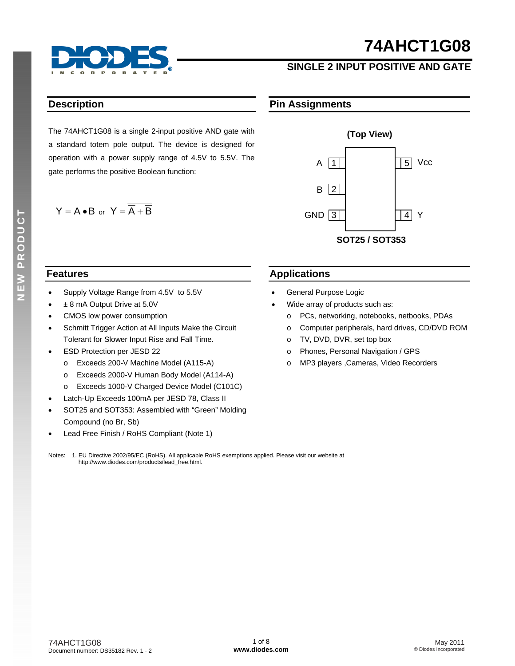

## **SINGLE 2 INPUT POSITIVE AND GATE**

### **Description**

The 74AHCT1G08 is a single 2-input positive AND gate with a standard totem pole output. The device is designed for operation with a power supply range of 4.5V to 5.5V. The gate performs the positive Boolean function:

$$
Y = A \bullet B \text{ or } Y = \overline{\overline{A} + \overline{B}}
$$

## **Pin Assignments**



#### **Features**

- Supply Voltage Range from 4.5V to 5.5V
- ± 8 mA Output Drive at 5.0V
- CMOS low power consumption
- Schmitt Trigger Action at All Inputs Make the Circuit Tolerant for Slower Input Rise and Fall Time.
- ESD Protection per JESD 22
	- o Exceeds 200-V Machine Model (A115-A)
	- o Exceeds 2000-V Human Body Model (A114-A)
	- o Exceeds 1000-V Charged Device Model (C101C)
- Latch-Up Exceeds 100mA per JESD 78, Class II
- SOT25 and SOT353: Assembled with "Green" Molding Compound (no Br, Sb)
- Lead Free Finish / RoHS Compliant (Note 1)

### **Applications**

- General Purpose Logic
- Wide array of products such as:
	- o PCs, networking, notebooks, netbooks, PDAs
	- o Computer peripherals, hard drives, CD/DVD ROM
	- o TV, DVD, DVR, set top box
	- o Phones, Personal Navigation / GPS
	- o MP3 players ,Cameras, Video Recorders

Notes: 1. EU Directive 2002/95/EC (RoHS). All applicable RoHS exemptions applied. Please visit our website at [http://www.diodes.com/products/lead\\_free.html](http://www.diodes.com/products/lead_free.html)*.*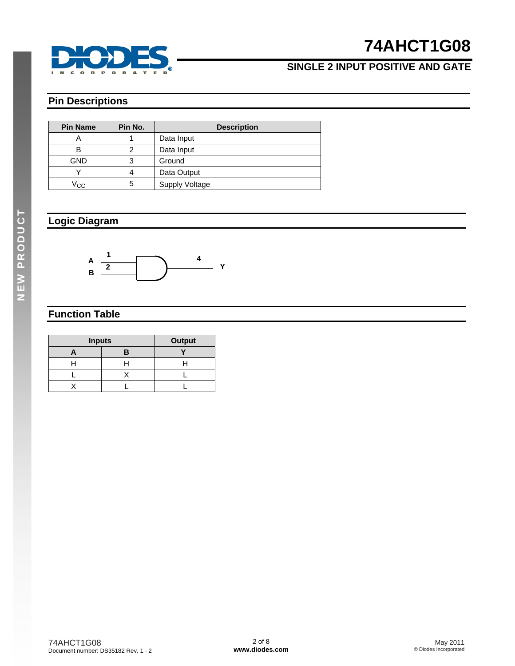

# **SINGLE 2 INPUT POSITIVE AND GATE**

# **Pin Descriptions**

| <b>Pin Name</b> | Pin No. | <b>Description</b>    |  |  |
|-----------------|---------|-----------------------|--|--|
| A               |         | Data Input            |  |  |
| в               | 2       | Data Input            |  |  |
| <b>GND</b>      | 3       | Ground                |  |  |
|                 |         | Data Output           |  |  |
| Vcc             | 5       | <b>Supply Voltage</b> |  |  |

### **Logic Diagram**



## **Function Table**

| <b>Inputs</b> | <b>Output</b> |  |
|---------------|---------------|--|
|               |               |  |
|               |               |  |
|               |               |  |
|               |               |  |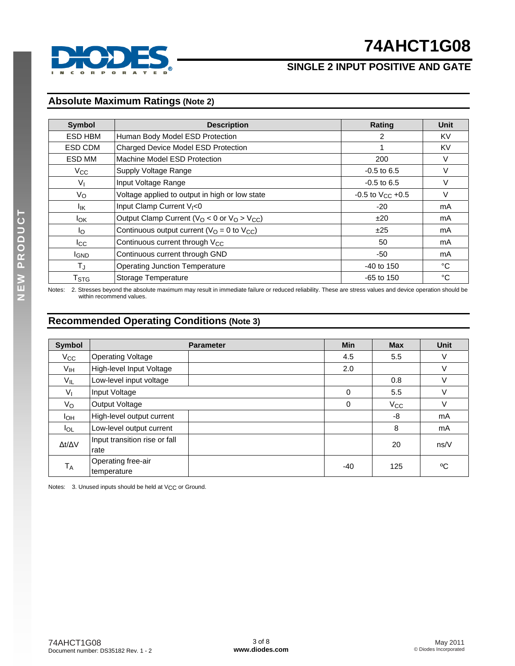

# **SINGLE 2 INPUT POSITIVE AND GATE**

## **Absolute Maximum Ratings (Note 2)**

| Symbol                                           | <b>Description</b>                                     | Rating                  | Unit   |
|--------------------------------------------------|--------------------------------------------------------|-------------------------|--------|
| ESD HBM                                          | Human Body Model ESD Protection                        | 2                       | KV     |
| ESD CDM                                          | Charged Device Model ESD Protection                    |                         | KV     |
| ESD MM                                           | Machine Model ESD Protection                           | 200                     | V      |
| $V_{CC}$                                         | Supply Voltage Range                                   | $-0.5$ to 6.5           | $\vee$ |
| $V_{\parallel}$                                  | Input Voltage Range                                    | $-0.5$ to 6.5           | v      |
| Vo                                               | Voltage applied to output in high or low state         | $-0.5$ to $V_{CC}$ +0.5 | V      |
| lικ                                              | Input Clamp Current V <sub>I</sub> <0                  | $-20$                   | mA     |
| <b>I</b> <sub>OK</sub>                           | Output Clamp Current ( $V_O$ < 0 or $V_O$ > $V_{CC}$ ) |                         | mA     |
| Ιo                                               | Continuous output current ( $VO = 0$ to $VCC$ )        | ±25                     | mA     |
| $_{\rm{lcc}}$                                    | Continuous current through V <sub>CC</sub>             | 50                      | mA     |
| Continuous current through GND<br><b>I</b> GND   |                                                        | -50                     | mA     |
| $T_{J}$<br><b>Operating Junction Temperature</b> |                                                        | $-40$ to 150            | °C     |
| $\mathsf{T}_{\text{STG}}$                        | Storage Temperature                                    | $-65$ to 150            | °C     |

Notes: 2. Stresses beyond the absolute maximum may result in immediate failure or reduced reliability. These are stress values and device operation should be within recommend values.

## **Recommended Operating Conditions (Note 3)**

| <b>Symbol</b>       |                                       | <b>Parameter</b> | <b>Min</b> | <b>Max</b>   | <b>Unit</b> |
|---------------------|---------------------------------------|------------------|------------|--------------|-------------|
| $V_{\rm CC}$        | <b>Operating Voltage</b>              |                  | 4.5        | 5.5          | V           |
| V <sub>IH</sub>     | High-level Input Voltage              |                  | 2.0        |              | V           |
| $V_{IL}$            | Low-level input voltage               |                  |            | 0.8          | ٧           |
| $V_{I}$             | Input Voltage                         |                  | $\Omega$   | 5.5          | V           |
| $V_{\rm O}$         | Output Voltage                        |                  | 0          | $V_{\rm CC}$ | V           |
| Iон                 | High-level output current             |                  |            | -8           | mA          |
| $I_{OL}$            | Low-level output current              |                  |            | 8            | mA          |
| $\Delta t/\Delta V$ | Input transition rise or fall<br>rate |                  |            | 20           | ns/V        |
| $T_A$               | Operating free-air<br>temperature     |                  | -40        | 125          | °C          |

Notes: 3. Unused inputs should be held at V<sub>CC</sub> or Ground.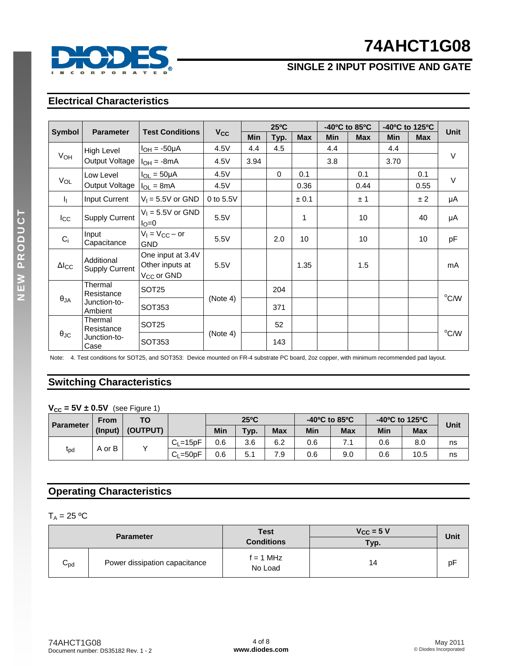

# **SINGLE 2 INPUT POSITIVE AND GATE**

# **Electrical Characteristics**

|                   |                                     |                                                                |                       |      | $25^{\circ}$ C |                 |            | $-40^{\circ}$ C to 85 $^{\circ}$ C |            | -40°C to 125°C  |                |
|-------------------|-------------------------------------|----------------------------------------------------------------|-----------------------|------|----------------|-----------------|------------|------------------------------------|------------|-----------------|----------------|
| <b>Symbol</b>     | <b>Parameter</b>                    | <b>Test Conditions</b>                                         | <b>V<sub>CC</sub></b> | Min  | Typ.           | <b>Max</b>      | <b>Min</b> | <b>Max</b>                         | <b>Min</b> | <b>Max</b>      | <b>Unit</b>    |
|                   | High Level                          | $I_{OH} = -50\mu A$                                            | 4.5V                  | 4.4  | 4.5            |                 | 4.4        |                                    | 4.4        |                 |                |
| V <sub>OH</sub>   | Output Voltage                      | $I_{OH} = -8mA$                                                | 4.5V                  | 3.94 |                |                 | 3.8        |                                    | 3.70       |                 | $\vee$         |
|                   | Low Level                           | $I_{OL} = 50 \mu A$                                            | 4.5V                  |      | $\Omega$       | 0.1             |            | 0.1                                |            | 0.1             | $\vee$         |
| VOL               | Output Voltage                      | $I_{OL} = 8mA$                                                 | 4.5V                  |      |                | 0.36            |            | 0.44                               |            | 0.55            |                |
| h.                | Input Current                       | $V_1 = 5.5V$ or GND                                            | 0 to 5.5V             |      |                | ± 0.1           |            | ±1                                 |            | ± 2             | μA             |
| $I_{\rm CC}$      | <b>Supply Current</b>               | $V_1 = 5.5V$ or GND<br>$I_{\rm O}=0$                           | 5.5V                  |      |                | 1               |            | 10                                 |            | 40              | μA             |
| $C_i$             | Input<br>Capacitance                | $V_1 = V_{CC} - or$<br><b>GND</b>                              | 5.5V                  |      | 2.0            | 10 <sup>°</sup> |            | 10 <sup>1</sup>                    |            | 10 <sup>1</sup> | pF             |
| $\Delta I_{CC}$   | Additional<br><b>Supply Current</b> | One input at 3.4V<br>Other inputs at<br>V <sub>CC</sub> or GND | 5.5V                  |      |                | 1.35            |            | 1.5                                |            |                 | mA             |
|                   | Thermal<br>Resistance               | SOT <sub>25</sub>                                              |                       |      | 204            |                 |            |                                    |            |                 |                |
| $\theta_{JA}$     | Junction-to-<br>Ambient             | SOT353                                                         | (Note 4)              |      | 371            |                 |            |                                    |            |                 | °C/W           |
|                   | Thermal<br>Resistance               | SOT <sub>25</sub>                                              |                       |      | 52             |                 |            |                                    |            |                 |                |
| $\theta_{\rm JC}$ | Junction-to-<br>Case                | SOT353                                                         | (Note 4)              |      | 143            |                 |            |                                    |            |                 | $^{\circ}$ C/W |

Note: 4. Test conditions for SOT25, and SOT353: Device mounted on FR-4 substrate PC board, 2oz copper, with minimum recommended pad layout.

### **Switching Characteristics**

 $V_{CC} = 5V \pm 0.5V$  (see Figure 1)

|                  | <b>From</b> | ТΟ       |              |     | $25^{\circ}$ C |            | -40°C to 85°C |            | -40°C to 125°C |            | Unit |
|------------------|-------------|----------|--------------|-----|----------------|------------|---------------|------------|----------------|------------|------|
| <b>Parameter</b> | (Input)     | (OUTPUT) |              | Min | Typ.           | <b>Max</b> | Min           | <b>Max</b> | Min            | <b>Max</b> |      |
|                  |             |          | $C1=15pF$    | 0.6 | 3.6            | 6.2        | 0.6           | .          | 0.6            | 8.0        | ns   |
| $r_{\rm pd}$     | A or B      |          | $C_L = 50pF$ | 0.6 | 5.1            | 7.9        | 0.6           | 9.0        | 0.6            | 10.5       | ns   |

# **Operating Characteristics**

 $T_A = 25 °C$ 

| <b>Parameter</b> |                               | <b>Test</b><br><b>Conditions</b> | $V_{CC}$ = 5 V<br>Typ. | Unit |
|------------------|-------------------------------|----------------------------------|------------------------|------|
| $C_{\text{pd}}$  | Power dissipation capacitance | $f = 1$ MHz<br>No Load           | 14                     | рF   |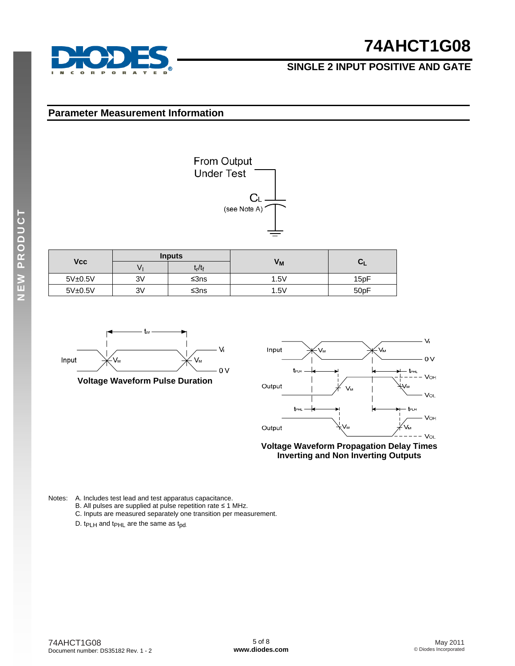

## **SINGLE 2 INPUT POSITIVE AND GATE**

#### **Parameter Measurement Information**

|            |         |               | $C_{\perp}$<br>(see Note A)<br>$=$ |       |
|------------|---------|---------------|------------------------------------|-------|
|            |         | <b>Inputs</b> |                                    |       |
| <b>Vcc</b> | $V_{I}$ | $t_r/t_f$     | V <sub>M</sub>                     | $C_L$ |
| 5V±0.5V    | 3V      | $≤3ns$        | 1.5V                               | 15pF  |
| 5V±0.5V    | 3V      | $≤3ns$        | 1.5V                               | 50pF  |

From Output<br>Under Test



**Voltage Waveform Pulse Duration** 



**Voltage Waveform Propagation Delay Times Inverting and Non Inverting Outputs**

Notes: A. Includes test lead and test apparatus capacitance.

- B. All pulses are supplied at pulse repetition rate ≤ 1 MHz.
- C. Inputs are measured separately one transition per measurement.
- D. t<sub>PLH</sub> and t<sub>PHL</sub> are the same as t<sub>pd.</sub>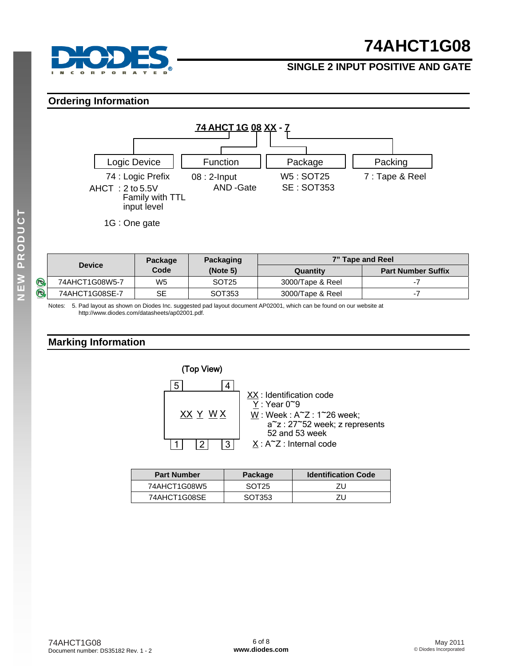

## **SINGLE 2 INPUT POSITIVE AND GATE**

#### **Ordering Information**



|             |                | Package        | Packaging         |                  | 7" Tape and Reel          |
|-------------|----------------|----------------|-------------------|------------------|---------------------------|
|             | <b>Device</b>  | Code           | (Note 5)          | Quantity         | <b>Part Number Suffix</b> |
| $\circledB$ | 74AHCT1G08W5-7 | W <sub>5</sub> | SOT <sub>25</sub> | 3000/Tape & Reel |                           |
| $\bigoplus$ | 74AHCT1G08SE-7 | SE             | SOT353            | 3000/Tape & Reel | - 1                       |

Notes: 5. Pad layout as shown on Diodes Inc. suggested pad layout document AP02001, which can be found on our website at [http://www.diodes.com/datasheets/ap02001.pdf.](http://www.diodes.com/datasheets/ap02001.pdf) 

### **Marking Information**



| <b>Part Number</b> | Package           | <b>Identification Code</b> |  |
|--------------------|-------------------|----------------------------|--|
| 74AHCT1G08W5       | SOT <sub>25</sub> | ΖU                         |  |
| 74AHCT1G08SE       | SOT353            | ΖU                         |  |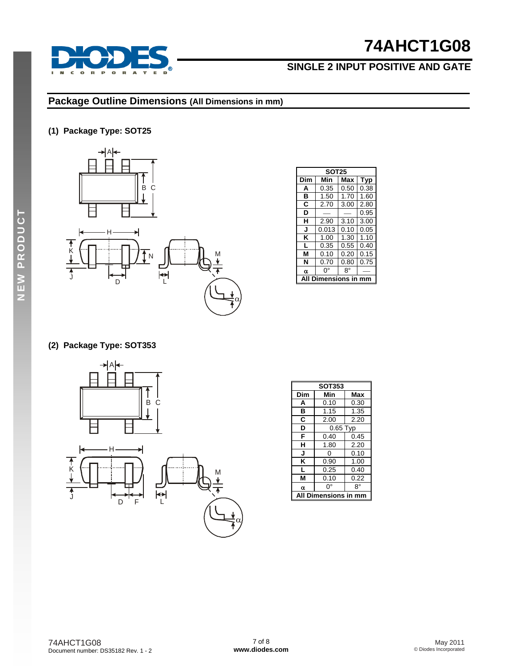

# **SINGLE 2 INPUT POSITIVE AND GATE**

### **Package Outline Dimensions (All Dimensions in mm)**

### **(1) Package Type: SOT25**



|     | <b>SOT25</b> |      |      |  |  |  |
|-----|--------------|------|------|--|--|--|
| Dim | Min          | Max  | Typ  |  |  |  |
| A   | 0.35         | 0.50 | 0.38 |  |  |  |
| в   | 1.50         | 1.70 | 1.60 |  |  |  |
| C   | 2.70         | 3.00 | 2.80 |  |  |  |
| D   |              |      | 0.95 |  |  |  |
| н   | 2.90         | 3.10 | 3.00 |  |  |  |
| J   | 0.013        | 0.10 | 0.05 |  |  |  |
| ĸ   | 1.00         | 1.30 | 1.10 |  |  |  |
| L   | 0.35         | 0.55 | 0.40 |  |  |  |
| М   | 0.10         | 0.20 | 0.15 |  |  |  |
| N   | 0.70         | 0.80 | 0.75 |  |  |  |
| α   | o۰           | 8°   |      |  |  |  |
|     | ension       | c i  |      |  |  |  |

#### **(2) Package Type: SOT353**



| <b>SOT353</b> |                 |      |  |  |  |  |
|---------------|-----------------|------|--|--|--|--|
| Dim           | Min             | Max  |  |  |  |  |
| A             | 0.10            | 0.30 |  |  |  |  |
| в             | 1.15            | 1.35 |  |  |  |  |
| C             | 2.00            | 2.20 |  |  |  |  |
| D             | $0.65$ Typ      |      |  |  |  |  |
| F             | 0.40            | 0.45 |  |  |  |  |
| н             | 1.80            | 2.20 |  |  |  |  |
| J             | ი               | 0.10 |  |  |  |  |
| ĸ             | 0.90            | 1.00 |  |  |  |  |
| L             | 0.25            | 0.40 |  |  |  |  |
| М             | 0.10            | 0.22 |  |  |  |  |
| α             | 0°              | 8°   |  |  |  |  |
| A             | Dimensions in m |      |  |  |  |  |